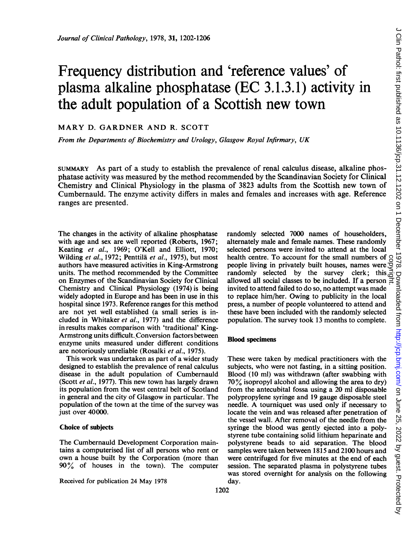# Frequency distribution and 'reference values' of plasma alkaline phosphatase (EC 3.1.3.1) activity in the adult population of a Scottish new town

# MARY D. GARDNER AND R. SCOTT

From the Departments of Biochemistry and Urology, Glasgow Royal Infirmary, UK

SUMMARY As part of a study to establish the prevalence of renal calculus disease, alkaline phosphatase activity was measured by the method recommended by the Scandinavian Society for Clinical Chemistry and Clinical Physiology in the plasma of 3823 adults from the Scottish new town of Cumbernauld. The enzyme activity differs in males and females and increases with age. Reference ranges are presented.

The changes in the activity of alkaline phosphatase with age and sex are well reported (Roberts, 1967; Keating et al., 1969; O'Kell and Elliott, 1970; Wilding et al., 1972; Penttilä et al., 1975), but most authors have measured activities in King-Armstrong units. The method recommended by the Committee on Enzymes of the Scandinavian Society for Clinical Chemistry and Clinical Physiology (1974) is being widely adopted in Europe and has been in use in this hospital since 1973. Reference ranges for this method are not yet well established (a small series is included in Whitaker et al., 1977) and the difference in results makes comparison with 'traditional' King-Armstrong units difficult. Conversion factors between enzyme units measured under different conditions are notoriously unreliable (Rosalki et al., 1975).

This work was undertaken as part of a wider study designed to establish the prevalence of renal calculus disease in the adult population of Cumbernauld (Scott et al., 1977). This new town has largely drawn its population from the west central belt of Scotland in general and the city of Glasgow in particular. The population of the town at the time of the survey was just over 40000.

#### Choice of subjects

The Cumbernauld Development Corporation maintains a computerised list of all persons who rent or own a house built by the Corporation (more than  $90\%$  of houses in the town). The computer

Received for publication 24 May 1978

randomly selected 7000 names of householders, alternately male and female names. These randomly selected persons were invited to attend at the local health centre. To account for the small numbers of people living in privately built houses, names were randomly selected by the survey clerk; this  $\frac{3}{6}$ allowed all social classes to be included. If a person invited to attend failed to do so, no attempt was made to replace him/her. Owing to publicity in the local press, a number of people volunteered to attend and these have been included with the randomly selected population. The survey took 13 months to complete.

## Blood specimens

These were taken by medical practitioners with the subjects, who were not fasting, in a sitting position. Blood (10 ml) was withdrawn (after swabbing with 70% isopropyl alcohol and allowing the area to dry) from the antecubital fossa using <sup>a</sup> <sup>20</sup> ml disposable polypropylene syringe and 19 gauge disposable steel needle. A tourniquet was used only if necessary to locate the vein and was released after penetration of the vessel wall. After removal of the needle from the syringe the blood was gently ejected into a polystyrene tube containing solid lithium heparinate and polystyrene beads to aid separation. The blood samples were taken between 1815 and 2100 hours and were centrifuged for five minutes at the end of each session. The separated plasma in polystyrene tubes was stored overnight for analysis on the following day.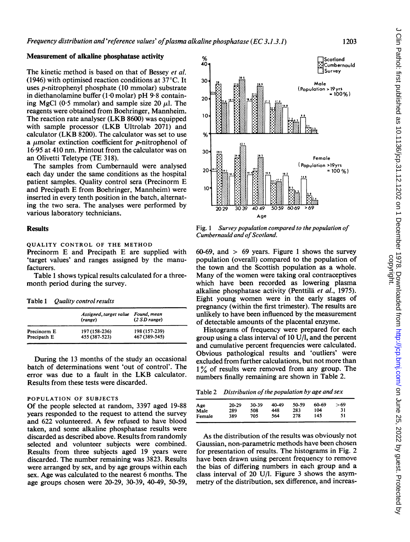# Measurement of alkaline phosphatase activity

The kinetic method is based on that of Bessey et al. (1946) with optimised reaction conditions at  $37^{\circ}$ C. It uses p-nitrophenyl phosphate (10 mmolar) substrate in diethanolamine buffer (1 0 molar) pH 9-8 containing MgCl (0.5 mmolar) and sample size 20  $\mu$ l. The reagents were obtained from Boehringer, Mannheim. The reaction rate analyser (LKB 8600) was equipped with sample processor (LKB Ultrolab 2071) and calculator (LKB 8200). The calculator was set to use a  $\mu$ molar extinction coefficient for p-nitrophenol of 16-95 at 410 nm. Printout from the calculator was on an Olivetti Teletype (TE 318).

The samples from Cumbernauld were analysed each day under the same conditions as the hospital patient samples. Quality control sera (Precinorm E and Precipath E from Boehringer, Mannheim) were inserted in every tenth position in the batch, alternating the two sera. The analyses were performed by various laboratory technicians.

# **Results**

#### QUALITY CONTROL OF THE METHOD

Precinorm E and Precipath E are supplied with 'target values' and ranges assigned by the manufacturers.

Table <sup>1</sup> shows typical results calculated for a threemonth period during the survey.

Table 1 Quality control results

|             | Assigned, target value Found, mean<br>(range) | (2 SD range)  |
|-------------|-----------------------------------------------|---------------|
| Precinorm E | 197 (158-236)                                 | 198 (157-239) |
| Precipath E | 455 (387-523)                                 | 467 (389-545) |

During the 13 months of the study an occasional batch of determinations went 'out of control'. The error was due to a fault in the LKB calculator. Results from these tests were discarded.

## POPULATION OF SUBJECTS

Of the people selected at random, 3397 aged 19-88 years responded to the request to attend the survey and <sup>622</sup> volunteered. A few refused to have blood taken, and some alkaline phosphatase results were discarded as described above. Results from randomly selected and volunteer subjects were combined. Results from three subjects aged 19 years were discarded. The number remaining was 3823. Results were arranged by sex, and by age groups within each sex. Age was calculated to the nearest 6 months. The age groups chosen were 20-29, 30-39, 40-49, 50-59,



Fig. <sup>1</sup> Survey population compared to the population of Cumbernauld and of Scotland.

60-69, and  $> 69$  years. Figure 1 shows the survey population (overall) compared to the population of the town and the Scottish population as a whole. Many of the women were taking oral contraceptives which have been recorded as lowering plasma alkaline phosphatase activity (Penttilä et al., 1975). Eight young women were in the early stages of pregnancy (within the first trimester). The results are unlikely to have been influenced by the measurement of detectable amounts of the placental enzyme.

Histograms of frequency were prepared for each group using a class interval of 10 U/l, and the percent and cumulative percent frequencies were calculated. Obvious pathological results and 'outliers' were excluded from further calculations, but not more than 1% of results were removed from any group. The numbers finally remaining are shown in Table 2.

Table 2 Distribution of the population by age and sex

| Age    | 20-29 | 30-39 | 40-49 | 50-59 | 60-69 | >69 |
|--------|-------|-------|-------|-------|-------|-----|
| Male   | 289   | 508   | 448   | 283   | 104   | 31  |
| Female | 389   | 705   | 564   | 278   | 145   | 51  |

As the distribution of the results was obviously not Gaussian, non-parametric methods have been chosen for presentation of results. The histograms in Fig. 2 have been drawn using percent frequency to remove the bias of differing numbers in each group and a class interval of 20 U/l. Figure <sup>3</sup> shows the asymmetry of the distribution, sex difference, and increas-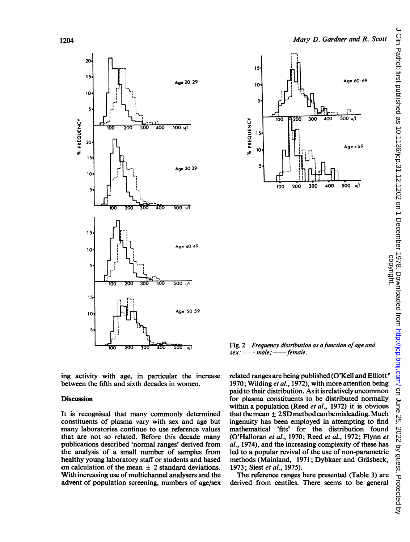



Fig. 2 Frequency distribution as a function of age and 

ing activity with age, in particular the increase between the fifth and sixth decades in women.

## **Discussion**

It is recognised that many commonly determined constituents of plasma vary with sex and age but many laboratories continue to use reference values that are not so related. Before this decade many publications described 'normal ranges' derived from the analysis of a small number of samples from healthy young laboratory staff or students and based on calculation of the mean  $\pm$  2 standard deviations. With increasing use of multichannel analysers and the advent of population screening, numbers of age/sex related ranges are being published (O'Kell and Elliott' 1970; Wilding et al., 1972), with more attention being paid to their distribution. As it is relatively uncommon for plasma constituents to be distributed normally within a population (Reed et al., 1972) it is obvious that the mean  $\pm 2SD$  method can be misleading. Much ingenuity has been employed in attempting to find mathematical 'fits' for the distribution found (O'Halloran et al., 1970; Reed et al., 1972; Flynn et al., 1974), and the increasing complexity of these has led to a popular revival of the use of non-parametric methods (Mainland, 1971; Dybkaer and Gräsbeck, 1973; Siest et al., 1975).

The reference ranges here presented (Table 3) are derived from centiles. There seems to be general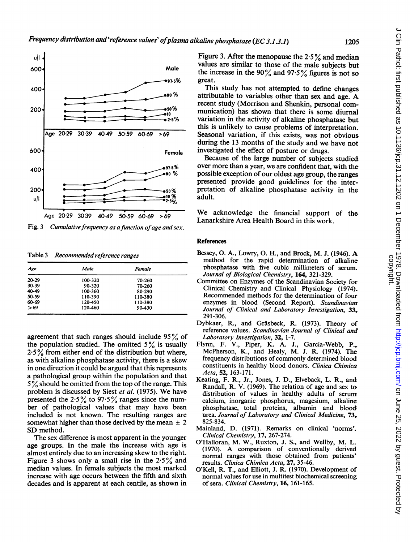

Fig. 3 Cumulative frequency as a function of age and sex.

Table 3 Recommended reference ranges

| Age   | Male    | Female  |  |
|-------|---------|---------|--|
| 20-29 | 100-320 | 70-260  |  |
| 30-39 | 90-320  | 70-260  |  |
| 40-49 | 100-360 | 80-290  |  |
| 50-59 | 110-390 | 110-380 |  |
| 60-69 | 120-450 | 110-380 |  |
| >69   | 120-460 | 90-430  |  |

agreement that such ranges should include <sup>95</sup> % of the population studied. The omitted  $5\%$  is usually  $2.5\%$  from either end of the distribution but where, as with alkaline phosphatase activity, there is a skew in one direction it could be argued that this represents a pathological group within the population and that <sup>5</sup> % should be omitted from the top of the range. This problem is discussed by Siest et al. (1975). We have presented the  $2.5\%$  to  $97.5\%$  ranges since the number of pathological values that may have been included is not known. The resulting ranges are somewhat higher than those derived by the mean  $\pm 2$ SD method.

The sex difference is most apparent in the younger age groups. In the male the increase with age is almost entirely due to an increasing skew to the right. Figure 3 shows only a small rise in the  $2.5\%$  and median values. In female subjects the most marked increase with age occurs between the fifth and sixth decades and is apparent at each centile, as shown in Figure 3. After the menopause the  $2.5\%$  and median values are similar to those of the male subjects but the increase in the 90% and 97.5% figures is not so great.

This study has not attempted to define changes attributable to variables other than sex and age. A recent study (Morrison and Shenkin, personal communication) has shown that there is some diurnal variation in the activity of alkaline phosphatase but this is unlikely to cause problems of interpretation. Seasonal variation, if this exists, was not obvious during the 13 months of the study and we have not investigated the effect of posture or drugs.

Because of the large number of subjects studied over more than a year, we are confident that, with the possible exception of our oldest age group, the ranges presented provide good guidelines for the interpretation of alkaline phosphatase activity in the adult.

We acknowledge the financial support of the Lanarkshire Area Health Board in this work.

# **References**

- Bessey, 0. A., Lowry, 0. H., and Brock, M. J. (1946). A method for the rapid determination of alkaline phosphatase with five cubic millimeters of serum. Journal of Biological Chemistry, 164, 321-329.
- Committee on Enzymes of the Scandinavian Society for Clinical Chemistry and Clinical Physiology (1974). Recommended methods for the determination of four enzymes in blood (Second Report). Scandinavian Journal of Clinical and Laboratory Investigation, 33, 291-306.
- Dybkaer, R., and Gräsbeck, R. (1973). Theory of reference values. Scandinavian Journal of Clinical and Laboratory Investigation, 32, 1-7.
- Flynn, F. V., Piper, K. A. J., Garcia-Webb, P., McPherson, K., and Healy, M. J. R. (1974). The frequency distributions of commonly determined blood constituents in healthy blood donors. Clinica Chimica Acta, 52, 163-171.
- Keating, F. R., Jr., Jones, J. D., Elveback, L. R., and Randall, R. V. (1969). The relation of age and sex to> distribution of values in healthy adults of serum calcium, inorganic phosphorus, magesium, alkaline phosphatase, total proteins, albumin and blood urea. Journal of Laboratory and Clinical Medicine, 73, 825-834.
- Mainland, D. (1971). Remarks on clinical 'norms'. Clinical Chemistry, 17, 267-274.
- O'Halloran, M. W., Ruxton, J. S., and Wellby, M. L. (1970). A comparison of conventionally derived normal ranges with those obtained from patients' results. Clinica Chimica Acta, 27, 35-46.
- O'Kell, R. T., and Elliott, J. R. (1970). Development of normal values for use in multitest biochemical screening of sera. Clinical Chemistry, 16, 161-165.